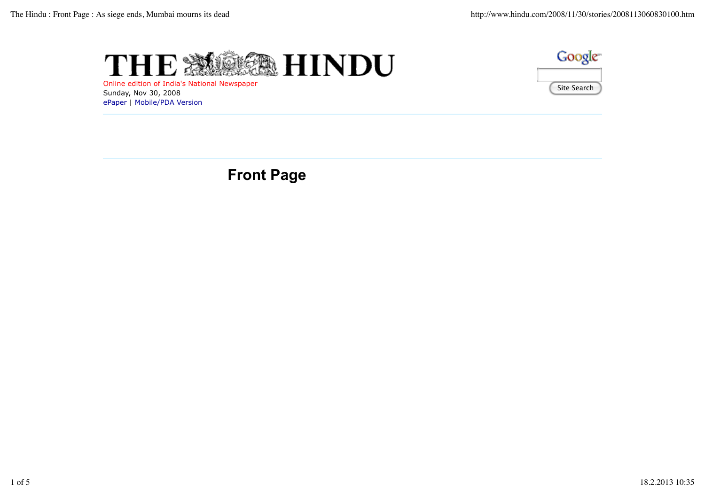



Online edition of India's National Newspaper Sunday, Nov 30, 2008 ePaper | Mobile/PDA Version

# **Front Page**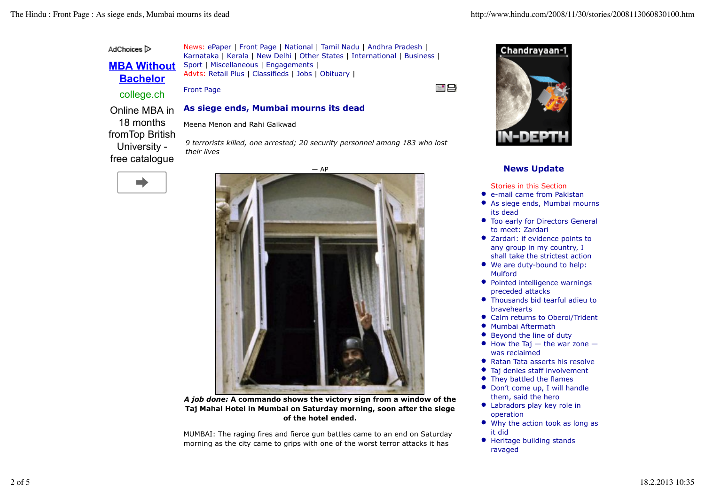AdChoices<sup>1</sup>

**MBA Without Bachelor**

News: ePaper | Front Page | National | Tamil Nadu | Andhra Pradesh | Karnataka | Kerala | New Delhi | Other States | International | Business | Sport | Miscellaneous | Engagements | Advts: Retail Plus | Classifieds | Jobs | Obituary |

Front Page college.ch

*their lives*

e\* [□]

#### **As siege ends, Mumbai mourns its dead** Online MBA in

Meena Menon and Rahi Gaikwad

fromTop British University free catalogue

18 months

m.

 $-$  AP

*9 terrorists killed, one arrested; 20 security personnel among 183 who lost*



*A job done:* **A commando shows the victory sign from a window of the Taj Mahal Hotel in Mumbai on Saturday morning, soon after the siege of the hotel ended.**

MUMBAI: The raging fires and fierce gun battles came to an end on Saturday morning as the city came to grips with one of the worst terror attacks it has



### **News Update**

Stories in this Section

- e-mail came from Pakistan
- As siege ends, Mumbai mourns  $\bullet$ its dead
- **Too early for Directors General** to meet: Zardari
- Zardari: if evidence points to any group in my country, I shall take the strictest action
- We are duty-bound to help: Mulford
- Pointed intelligence warnings preceded attacks
- Thousands bid tearful adieu to bravehearts
- Calm returns to Oberoi/Trident
- **Mumbai Aftermath**
- Beyond the line of duty
- $\bullet$  How the Taj  $-$  the war zone  $$ was reclaimed
- Ratan Tata asserts his resolve
- Taj denies staff involvement
- They battled the flames
- Don't come up, I will handle them, said the hero
- Labradors play key role in operation
- Why the action took as long as it did
- Heritage building stands ravaged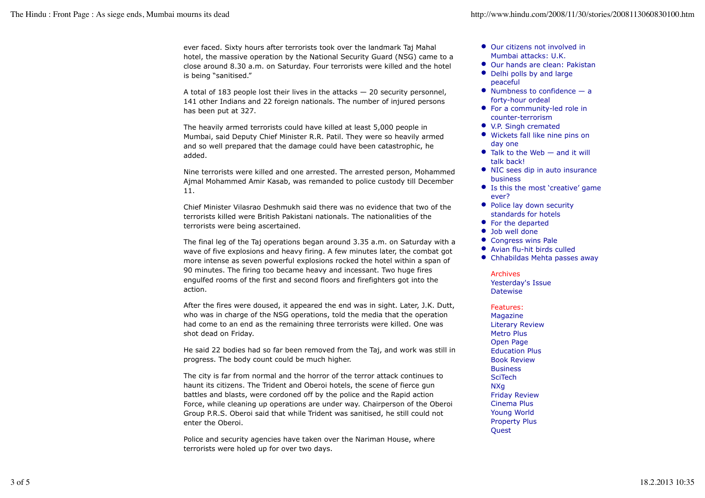ever faced. Sixty hours after terrorists took over the landmark Taj Mahal hotel, the massive operation by the National Security Guard (NSG) came to a close around 8.30 a.m. on Saturday. Four terrorists were killed and the hotel is being "sanitised."

A total of 183 people lost their lives in the attacks  $-20$  security personnel, 141 other Indians and 22 foreign nationals. The number of injured persons has been put at 327.

The heavily armed terrorists could have killed at least 5,000 people in Mumbai, said Deputy Chief Minister R.R. Patil. They were so heavily armed and so well prepared that the damage could have been catastrophic, he added.

Nine terrorists were killed and one arrested. The arrested person, Mohammed Ajmal Mohammed Amir Kasab, was remanded to police custody till December 11.

Chief Minister Vilasrao Deshmukh said there was no evidence that two of the terrorists killed were British Pakistani nationals. The nationalities of the terrorists were being ascertained.

The final leg of the Taj operations began around 3.35 a.m. on Saturday with a wave of five explosions and heavy firing. A few minutes later, the combat got more intense as seven powerful explosions rocked the hotel within a span of 90 minutes. The firing too became heavy and incessant. Two huge fires engulfed rooms of the first and second floors and firefighters got into the action.

After the fires were doused, it appeared the end was in sight. Later, J.K. Dutt, who was in charge of the NSG operations, told the media that the operation had come to an end as the remaining three terrorists were killed. One was shot dead on Friday.

He said 22 bodies had so far been removed from the Taj, and work was still in progress. The body count could be much higher.

The city is far from normal and the horror of the terror attack continues to haunt its citizens. The Trident and Oberoi hotels, the scene of fierce gun battles and blasts, were cordoned off by the police and the Rapid action Force, while cleaning up operations are under way. Chairperson of the Oberoi Group P.R.S. Oberoi said that while Trident was sanitised, he still could not enter the Oberoi.

Police and security agencies have taken over the Nariman House, where terrorists were holed up for over two days.

- Our citizens not involved in Mumbai attacks: U.K.
- Our hands are clean: Pakistan
- Delhi polls by and large peaceful
- $\bullet$  Numbness to confidence a forty-hour ordeal
- For a community-led role in counter-terrorism
- V.P. Singh cremated
- Wickets fall like nine pins on day one
- $\bullet$  Talk to the Web  $-$  and it will talk back!
- NIC sees dip in auto insurance business
- Is this the most 'creative' game ever?
- Police lay down security standards for hotels
- For the departed
- Job well done
- Congress wins Pale
- Avian flu-hit birds culled
- Chhabildas Mehta passes away

#### Archives

Yesterday's Issue **Datewise** 

Features:

Magazine Literary Review Metro Plus Open Page Education Plus Book Review Business **SciTech** NXg Friday Review Cinema Plus Young World Property Plus Quest